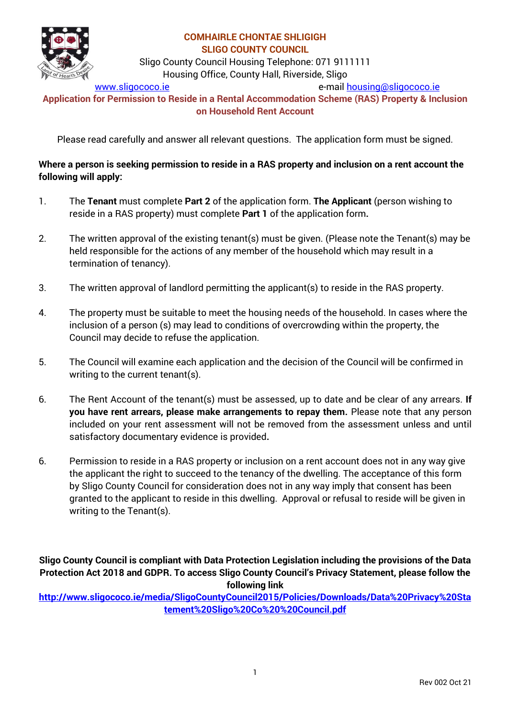

Sligo County Council Housing Telephone: 071 9111111 Housing Office, County Hall, Riverside, Sligo

[www.sligococo.ie](http://www.sligococo.ie/) e-mail [housing@sligococo.ie](mailto:housing@sligococo.ie)

**Application for Permission to Reside in a Rental Accommodation Scheme (RAS) Property & Inclusion on Household Rent Account** 

Please read carefully and answer all relevant questions. The application form must be signed.

## **Where a person is seeking permission to reside in a RAS property and inclusion on a rent account the following will apply:**

- 1. The **Tenant** must complete **Part 2** of the application form. **The Applicant** (person wishing to reside in a RAS property) must complete **Part 1** of the application form**.**
- 2. The written approval of the existing tenant(s) must be given. (Please note the Tenant(s) may be held responsible for the actions of any member of the household which may result in a termination of tenancy).
- 3. The written approval of landlord permitting the applicant(s) to reside in the RAS property.
- 4. The property must be suitable to meet the housing needs of the household. In cases where the inclusion of a person (s) may lead to conditions of overcrowding within the property, the Council may decide to refuse the application.
- 5. The Council will examine each application and the decision of the Council will be confirmed in writing to the current tenant(s).
- 6. The Rent Account of the tenant(s) must be assessed, up to date and be clear of any arrears. **If you have rent arrears, please make arrangements to repay them.** Please note that any person included on your rent assessment will not be removed from the assessment unless and until satisfactory documentary evidence is provided**.**
- 6. Permission to reside in a RAS property or inclusion on a rent account does not in any way give the applicant the right to succeed to the tenancy of the dwelling. The acceptance of this form by Sligo County Council for consideration does not in any way imply that consent has been granted to the applicant to reside in this dwelling. Approval or refusal to reside will be given in writing to the Tenant(s).

**Sligo County Council is compliant with Data Protection Legislation including the provisions of the Data Protection Act 2018 and GDPR. To access Sligo County Council's Privacy Statement, please follow the following link** 

**[http://www.sligococo.ie/media/SligoCountyCouncil2015/Policies/Downloads/Data%20Privacy%20Sta](http://www.sligococo.ie/media/SligoCountyCouncil2015/Policies/Downloads/Data%20Privacy%20Statement%20Sligo%20Co%20%20Council.pdf) [tement%20Sligo%20Co%20%20Council.pdf](http://www.sligococo.ie/media/SligoCountyCouncil2015/Policies/Downloads/Data%20Privacy%20Statement%20Sligo%20Co%20%20Council.pdf)**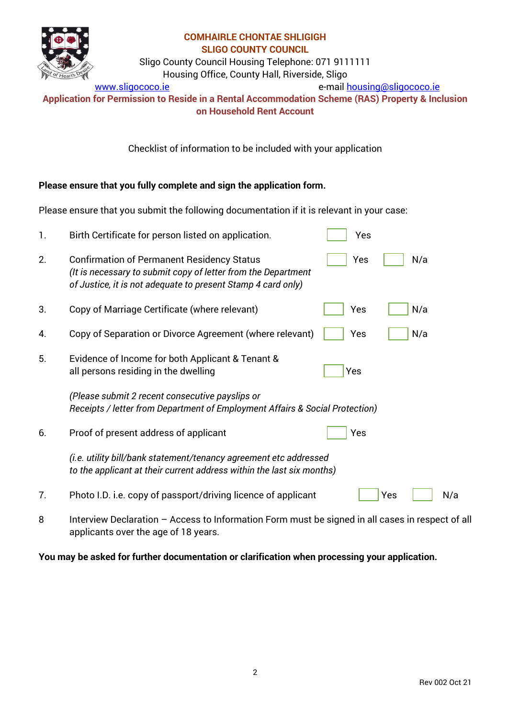

Sligo County Council Housing Telephone: 071 9111111

Housing Office, County Hall, Riverside, Sligo

[www.sligococo.ie](http://www.sligococo.ie/) e-mail [housing@sligococo.ie](mailto:housing@sligococo.ie)

**Application for Permission to Reside in a Rental Accommodation Scheme (RAS) Property & Inclusion on Household Rent Account** 

Checklist of information to be included with your application

## **Please ensure that you fully complete and sign the application form.**

Please ensure that you submit the following documentation if it is relevant in your case:

| 1. | Birth Certificate for person listed on application.                                                                                                                                | Yes        |
|----|------------------------------------------------------------------------------------------------------------------------------------------------------------------------------------|------------|
| 2. | <b>Confirmation of Permanent Residency Status</b><br>(It is necessary to submit copy of letter from the Department<br>of Justice, it is not adequate to present Stamp 4 card only) | Yes<br>N/a |
| 3. | Copy of Marriage Certificate (where relevant)                                                                                                                                      | N/a<br>Yes |
| 4. | Copy of Separation or Divorce Agreement (where relevant)                                                                                                                           | N/a<br>Yes |
| 5. | Evidence of Income for both Applicant & Tenant &<br>all persons residing in the dwelling                                                                                           | Yes        |
|    | (Please submit 2 recent consecutive payslips or<br>Receipts / letter from Department of Employment Affairs & Social Protection)                                                    |            |
| 6. | Proof of present address of applicant                                                                                                                                              | Yes        |
|    | (i.e. utility bill/bank statement/tenancy agreement etc addressed<br>to the applicant at their current address within the last six months)                                         |            |
| 7. | Photo I.D. i.e. copy of passport/driving licence of applicant                                                                                                                      | N/a<br>Yes |
|    |                                                                                                                                                                                    |            |

8 Interview Declaration – Access to Information Form must be signed in all cases in respect of all applicants over the age of 18 years.

**You may be asked for further documentation or clarification when processing your application.**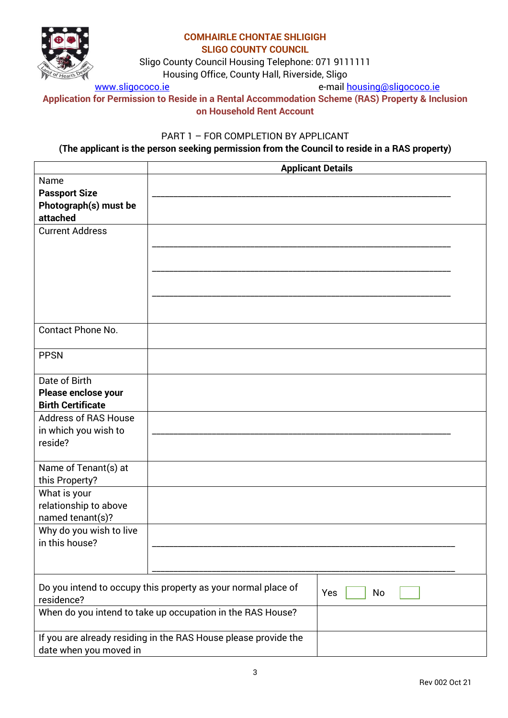

Sligo County Council Housing Telephone: 071 9111111

Housing Office, County Hall, Riverside, Sligo

[www.sligococo.ie](http://www.sligococo.ie/) e-mail [housing@sligococo.ie](mailto:housing@sligococo.ie)

**Application for Permission to Reside in a Rental Accommodation Scheme (RAS) Property & Inclusion on Household Rent Account** 

## PART 1 – FOR COMPLETION BY APPLICANT

## **(The applicant is the person seeking permission from the Council to reside in a RAS property)**

|                                                                             |                                                                 | <b>Applicant Details</b> |
|-----------------------------------------------------------------------------|-----------------------------------------------------------------|--------------------------|
| Name<br><b>Passport Size</b><br>Photograph(s) must be<br>attached           |                                                                 |                          |
| <b>Current Address</b>                                                      |                                                                 |                          |
| <b>Contact Phone No.</b>                                                    |                                                                 |                          |
| <b>PPSN</b>                                                                 |                                                                 |                          |
| Date of Birth<br>Please enclose your<br><b>Birth Certificate</b>            |                                                                 |                          |
| <b>Address of RAS House</b><br>in which you wish to<br>reside?              |                                                                 |                          |
| Name of Tenant(s) at<br>this Property?                                      |                                                                 |                          |
| What is your<br>relationship to above<br>named tenant(s)?                   |                                                                 |                          |
| Why do you wish to live<br>in this house?                                   |                                                                 |                          |
| Do you intend to occupy this property as your normal place of<br>residence? |                                                                 | Yes<br>No                |
|                                                                             | When do you intend to take up occupation in the RAS House?      |                          |
| date when you moved in                                                      | If you are already residing in the RAS House please provide the |                          |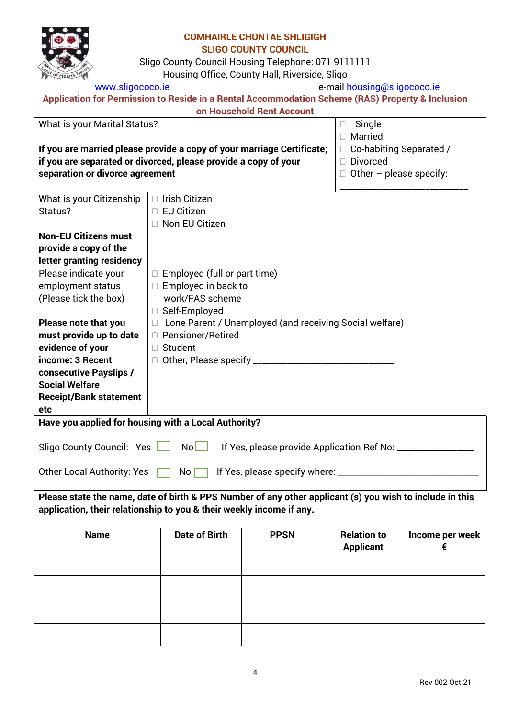

Sligo County Council Housing Telephone: 071 9111111

Housing Office, County Hall, Riverside, Sligo

[www.sligococo.ie](http://www.sligococo.ie/) e-mail [housing@sligococo.ie](mailto:housing@sligococo.ie)

| Application for Permission to Reside in a Rental Accommodation Scheme (RAS) Property & Inclusion |                           |  |
|--------------------------------------------------------------------------------------------------|---------------------------|--|
|                                                                                                  | on Household Rent Account |  |

|                                                                                                          |                                   | ON HOUSENOIG HENLACCOUNT                                |                           |                 |  |
|----------------------------------------------------------------------------------------------------------|-----------------------------------|---------------------------------------------------------|---------------------------|-----------------|--|
| What is your Marital Status?                                                                             |                                   |                                                         | Single                    |                 |  |
|                                                                                                          | Married                           |                                                         |                           |                 |  |
| If you are married please provide a copy of your marriage Certificate;                                   |                                   | Co-habiting Separated /                                 |                           |                 |  |
| if you are separated or divorced, please provide a copy of your                                          |                                   |                                                         | Divorced                  |                 |  |
| separation or divorce agreement                                                                          |                                   |                                                         | Other $-$ please specify: |                 |  |
|                                                                                                          |                                   |                                                         |                           |                 |  |
| What is your Citizenship                                                                                 | Irish Citizen                     |                                                         |                           |                 |  |
| Status?                                                                                                  | <b>EU Citizen</b>                 |                                                         |                           |                 |  |
|                                                                                                          | Non-EU Citizen                    |                                                         |                           |                 |  |
| <b>Non-EU Citizens must</b>                                                                              |                                   |                                                         |                           |                 |  |
| provide a copy of the                                                                                    |                                   |                                                         |                           |                 |  |
| letter granting residency                                                                                |                                   |                                                         |                           |                 |  |
| Please indicate your                                                                                     | □ Employed (full or part time)    |                                                         |                           |                 |  |
| employment status                                                                                        | $\Box$ Employed in back to        |                                                         |                           |                 |  |
|                                                                                                          | work/FAS scheme                   |                                                         |                           |                 |  |
| (Please tick the box)                                                                                    |                                   |                                                         |                           |                 |  |
|                                                                                                          | □ Self-Employed                   |                                                         |                           |                 |  |
| Please note that you                                                                                     |                                   | Lone Parent / Unemployed (and receiving Social welfare) |                           |                 |  |
| must provide up to date                                                                                  | □ Pensioner/Retired               |                                                         |                           |                 |  |
| evidence of your                                                                                         | Student<br>П.                     |                                                         |                           |                 |  |
| income: 3 Recent                                                                                         | Other, Please specify ___________ |                                                         |                           |                 |  |
| consecutive Payslips /                                                                                   |                                   |                                                         |                           |                 |  |
| <b>Social Welfare</b>                                                                                    |                                   |                                                         |                           |                 |  |
| <b>Receipt/Bank statement</b>                                                                            |                                   |                                                         |                           |                 |  |
| etc                                                                                                      |                                   |                                                         |                           |                 |  |
| Have you applied for housing with a Local Authority?                                                     |                                   |                                                         |                           |                 |  |
|                                                                                                          |                                   |                                                         |                           |                 |  |
| Sligo County Council: Yes                                                                                | No                                | If Yes, please provide Application Ref No: _______      |                           |                 |  |
|                                                                                                          |                                   |                                                         |                           |                 |  |
| <b>Other Local Authority: Yes</b>                                                                        | No                                | If Yes, please specify where: _                         |                           |                 |  |
|                                                                                                          |                                   |                                                         |                           |                 |  |
| Please state the name, date of birth & PPS Number of any other applicant (s) you wish to include in this |                                   |                                                         |                           |                 |  |
| application, their relationship to you & their weekly income if any.                                     |                                   |                                                         |                           |                 |  |
|                                                                                                          |                                   |                                                         |                           |                 |  |
| <b>Name</b>                                                                                              | <b>Date of Birth</b>              | <b>PPSN</b>                                             | <b>Relation to</b>        | Income per week |  |
|                                                                                                          |                                   |                                                         | <b>Applicant</b>          | €               |  |
|                                                                                                          |                                   |                                                         |                           |                 |  |
|                                                                                                          |                                   |                                                         |                           |                 |  |
|                                                                                                          |                                   |                                                         |                           |                 |  |
|                                                                                                          |                                   |                                                         |                           |                 |  |
|                                                                                                          |                                   |                                                         |                           |                 |  |
|                                                                                                          |                                   |                                                         |                           |                 |  |
|                                                                                                          |                                   |                                                         |                           |                 |  |
|                                                                                                          |                                   |                                                         |                           |                 |  |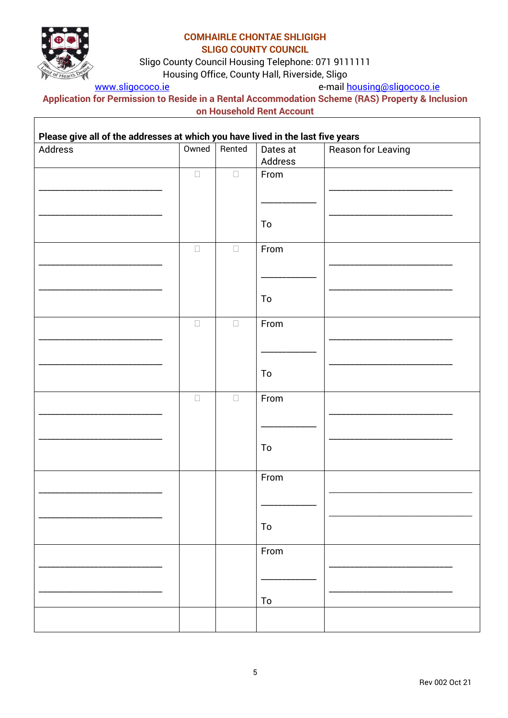

Г

#### **COMHAIRLE CHONTAE SHLIGIGH SLIGO COUNTY COUNCIL**

Sligo County Council Housing Telephone: 071 9111111

Housing Office, County Hall, Riverside, Sligo

[www.sligococo.ie](http://www.sligococo.ie/) e-mail [housing@sligococo.ie](mailto:housing@sligococo.ie)

٦

**Application for Permission to Reside in a Rental Accommodation Scheme (RAS) Property & Inclusion on Household Rent Account** 

| Please give all of the addresses at which you have lived in the last five years | Owned  | Rented |            |                           |
|---------------------------------------------------------------------------------|--------|--------|------------|---------------------------|
| Address                                                                         |        |        | Dates at   | <b>Reason for Leaving</b> |
|                                                                                 |        |        | Address    |                           |
|                                                                                 | $\Box$ | $\Box$ | From       |                           |
|                                                                                 |        |        |            |                           |
|                                                                                 |        |        |            |                           |
|                                                                                 |        |        |            |                           |
|                                                                                 |        |        |            |                           |
|                                                                                 |        |        | To         |                           |
|                                                                                 |        |        |            |                           |
|                                                                                 | $\Box$ | $\Box$ | From       |                           |
|                                                                                 |        |        |            |                           |
|                                                                                 |        |        |            |                           |
|                                                                                 |        |        |            |                           |
|                                                                                 |        |        |            |                           |
|                                                                                 |        |        | To         |                           |
|                                                                                 |        |        |            |                           |
|                                                                                 | $\Box$ | $\Box$ | From       |                           |
|                                                                                 |        |        |            |                           |
|                                                                                 |        |        |            |                           |
|                                                                                 |        |        |            |                           |
|                                                                                 |        |        |            |                           |
|                                                                                 |        |        | To         |                           |
|                                                                                 |        |        |            |                           |
|                                                                                 | $\Box$ | $\Box$ | From       |                           |
|                                                                                 |        |        |            |                           |
|                                                                                 |        |        |            |                           |
|                                                                                 |        |        |            |                           |
|                                                                                 |        |        |            |                           |
|                                                                                 |        |        | To         |                           |
|                                                                                 |        |        |            |                           |
|                                                                                 |        |        | From       |                           |
|                                                                                 |        |        |            |                           |
|                                                                                 |        |        |            |                           |
|                                                                                 |        |        |            |                           |
|                                                                                 |        |        |            |                           |
|                                                                                 |        |        | ${\sf To}$ |                           |
|                                                                                 |        |        |            |                           |
|                                                                                 |        |        | From       |                           |
|                                                                                 |        |        |            |                           |
|                                                                                 |        |        |            |                           |
|                                                                                 |        |        |            |                           |
|                                                                                 |        |        |            |                           |
|                                                                                 |        |        | To         |                           |
|                                                                                 |        |        |            |                           |
|                                                                                 |        |        |            |                           |
|                                                                                 |        |        |            |                           |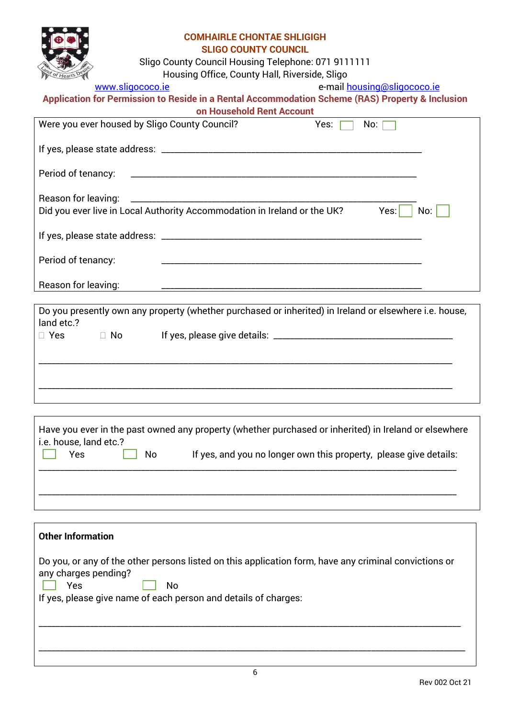

Sligo County Council Housing Telephone: 071 9111111

Housing Office, County Hall, Riverside, Sligo

[www.sligococo.ie](http://www.sligococo.ie/) e-mail [housing@sligococo.ie](mailto:housing@sligococo.ie)

| Application for Permission to Reside in a Rental Accommodation Scheme (RAS) Property & Inclusion |  |
|--------------------------------------------------------------------------------------------------|--|
|--------------------------------------------------------------------------------------------------|--|

|                                               | on Household Rent Account                                                                              |      |             |
|-----------------------------------------------|--------------------------------------------------------------------------------------------------------|------|-------------|
| Were you ever housed by Sligo County Council? |                                                                                                        | Yes: | No: $\Box$  |
|                                               |                                                                                                        |      |             |
| Period of tenancy:                            |                                                                                                        |      |             |
| Reason for leaving:                           | Did you ever live in Local Authority Accommodation in Ireland or the UK?                               |      | Yes:<br>No: |
|                                               |                                                                                                        |      |             |
| Period of tenancy:                            |                                                                                                        |      |             |
| Reason for leaving:                           |                                                                                                        |      |             |
|                                               |                                                                                                        |      |             |
| land etc.?                                    | Do you presently own any property (whether purchased or inherited) in Ireland or elsewhere i.e. house, |      |             |
| $\Box$ No $\Box$<br>$\Box$ Yes                |                                                                                                        |      |             |
|                                               |                                                                                                        |      |             |
|                                               |                                                                                                        |      |             |
|                                               |                                                                                                        |      |             |

| Have you ever in the past owned any property (whether purchased or inherited) in Ireland or elsewhere<br>i.e. house, land etc.? |  |  |  |  |  |  |
|---------------------------------------------------------------------------------------------------------------------------------|--|--|--|--|--|--|
| Yes<br>If yes, and you no longer own this property, please give details:<br>No.                                                 |  |  |  |  |  |  |
|                                                                                                                                 |  |  |  |  |  |  |
|                                                                                                                                 |  |  |  |  |  |  |

| <b>Other Information</b>                                                                                                                                                                                      |
|---------------------------------------------------------------------------------------------------------------------------------------------------------------------------------------------------------------|
| Do you, or any of the other persons listed on this application form, have any criminal convictions or<br>any charges pending?<br>Yes<br>No<br>If yes, please give name of each person and details of charges: |
|                                                                                                                                                                                                               |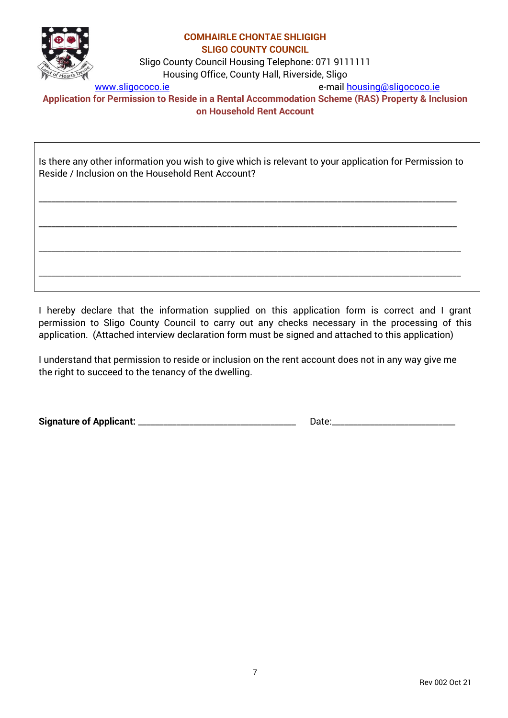

Sligo County Council Housing Telephone: 071 9111111

Housing Office, County Hall, Riverside, Sligo

[www.sligococo.ie](http://www.sligococo.ie/) e-mail [housing@sligococo.ie](mailto:housing@sligococo.ie)

**Application for Permission to Reside in a Rental Accommodation Scheme (RAS) Property & Inclusion on Household Rent Account** 

Is there any other information you wish to give which is relevant to your application for Permission to Reside / Inclusion on the Household Rent Account?

\_\_\_\_\_\_\_\_\_\_\_\_\_\_\_\_\_\_\_\_\_\_\_\_\_\_\_\_\_\_\_\_\_\_\_\_\_\_\_\_\_\_\_\_\_\_\_\_\_\_\_\_\_\_\_\_\_\_\_\_\_\_\_\_\_\_\_\_\_\_\_\_\_\_\_\_\_\_\_\_\_\_\_\_\_\_\_\_\_\_\_\_\_\_\_\_\_\_

\_\_\_\_\_\_\_\_\_\_\_\_\_\_\_\_\_\_\_\_\_\_\_\_\_\_\_\_\_\_\_\_\_\_\_\_\_\_\_\_\_\_\_\_\_\_\_\_\_\_\_\_\_\_\_\_\_\_\_\_\_\_\_\_\_\_\_\_\_\_\_\_\_\_\_\_\_\_\_\_\_\_\_\_\_\_\_\_\_\_\_\_\_\_\_\_\_\_

\_\_\_\_\_\_\_\_\_\_\_\_\_\_\_\_\_\_\_\_\_\_\_\_\_\_\_\_\_\_\_\_\_\_\_\_\_\_\_\_\_\_\_\_\_\_\_\_\_\_\_\_\_\_\_\_\_\_\_\_\_\_\_\_\_\_\_\_\_\_\_\_\_\_\_\_\_\_\_\_\_\_\_\_\_\_\_\_\_\_\_\_\_\_\_\_\_\_\_

\_\_\_\_\_\_\_\_\_\_\_\_\_\_\_\_\_\_\_\_\_\_\_\_\_\_\_\_\_\_\_\_\_\_\_\_\_\_\_\_\_\_\_\_\_\_\_\_\_\_\_\_\_\_\_\_\_\_\_\_\_\_\_\_\_\_\_\_\_\_\_\_\_\_\_\_\_\_\_\_\_\_\_\_\_\_\_\_\_\_\_\_\_\_\_\_\_\_\_

I hereby declare that the information supplied on this application form is correct and I grant permission to Sligo County Council to carry out any checks necessary in the processing of this application. (Attached interview declaration form must be signed and attached to this application)

I understand that permission to reside or inclusion on the rent account does not in any way give me the right to succeed to the tenancy of the dwelling.

**Signature of Applicant:** \_\_\_\_\_\_\_\_\_\_\_\_\_\_\_\_\_\_\_\_\_\_\_\_\_\_\_\_\_\_\_\_\_\_\_\_\_ Date:\_\_\_\_\_\_\_\_\_\_\_\_\_\_\_\_\_\_\_\_\_\_\_\_\_\_\_\_\_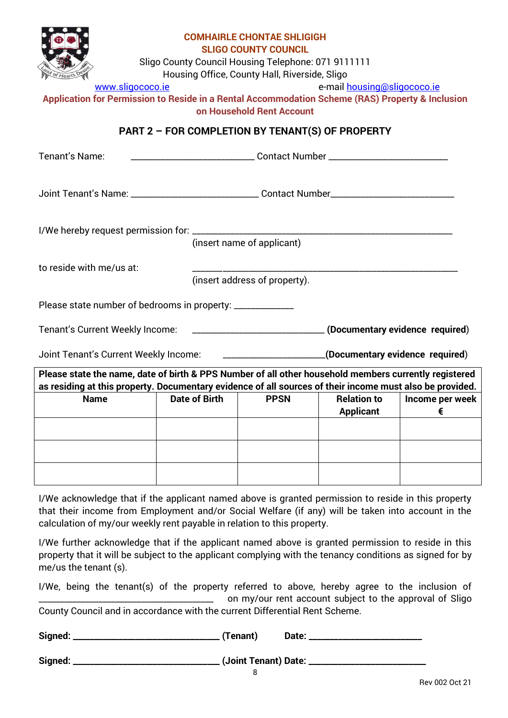

Sligo County Council Housing Telephone: 071 9111111

Housing Office, County Hall, Riverside, Sligo

[www.sligococo.ie](http://www.sligococo.ie/) e-mail [housing@sligococo.ie](mailto:housing@sligococo.ie)

**Application for Permission to Reside in a Rental Accommodation Scheme (RAS) Property & Inclusion on Household Rent Account** 

# **PART 2 – FOR COMPLETION BY TENANT(S) OF PROPERTY**

| Tenant's Name:<br>__________________________________Contact Number _______________________________                                                                                                                |                                                                                                                                                                |                               |  |  |  |
|-------------------------------------------------------------------------------------------------------------------------------------------------------------------------------------------------------------------|----------------------------------------------------------------------------------------------------------------------------------------------------------------|-------------------------------|--|--|--|
| Joint Tenant's Name: _________________________________Contact Number________________________________                                                                                                              |                                                                                                                                                                |                               |  |  |  |
| (insert name of applicant)                                                                                                                                                                                        |                                                                                                                                                                |                               |  |  |  |
| to reside with me/us at:                                                                                                                                                                                          |                                                                                                                                                                |                               |  |  |  |
|                                                                                                                                                                                                                   |                                                                                                                                                                | (insert address of property). |  |  |  |
|                                                                                                                                                                                                                   | Please state number of bedrooms in property: _____________<br>Tenant's Current Weekly Income: _________________________________(Documentary evidence required) |                               |  |  |  |
| Joint Tenant's Current Weekly Income: _________________________(Documentary evidence required)                                                                                                                    |                                                                                                                                                                |                               |  |  |  |
| Please state the name, date of birth & PPS Number of all other household members currently registered<br>as residing at this property. Documentary evidence of all sources of their income must also be provided. |                                                                                                                                                                |                               |  |  |  |
| <b>Date of Birth</b><br><b>Relation to</b><br>Income per week<br><b>Name</b><br><b>PPSN</b><br><b>Applicant</b><br>€                                                                                              |                                                                                                                                                                |                               |  |  |  |
|                                                                                                                                                                                                                   |                                                                                                                                                                |                               |  |  |  |
|                                                                                                                                                                                                                   |                                                                                                                                                                |                               |  |  |  |
|                                                                                                                                                                                                                   |                                                                                                                                                                |                               |  |  |  |

I/We acknowledge that if the applicant named above is granted permission to reside in this property that their income from Employment and/or Social Welfare (if any) will be taken into account in the calculation of my/our weekly rent payable in relation to this property.

I/We further acknowledge that if the applicant named above is granted permission to reside in this property that it will be subject to the applicant complying with the tenancy conditions as signed for by me/us the tenant (s).

I/We, being the tenant(s) of the property referred to above, hereby agree to the inclusion of on my/our rent account subject to the approval of Sligo County Council and in accordance with the current Differential Rent Scheme.

| ______ | Signed: | (Tenant) | Date: |
|--------|---------|----------|-------|
|--------|---------|----------|-------|

**Signed: \_\_\_\_\_\_\_\_\_\_\_\_\_\_\_\_\_\_\_\_\_\_\_\_\_\_\_\_\_\_\_\_\_\_\_ (Joint Tenant) Date: \_\_\_\_\_\_\_\_\_\_\_\_\_\_\_\_\_\_\_\_\_\_\_\_\_\_\_\_**